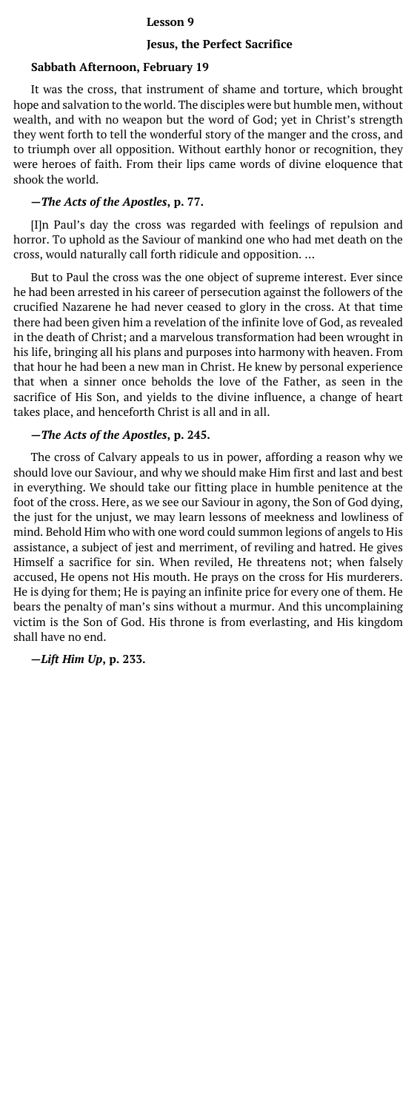## **Lesson 9**

## **Jesus, the Perfect Sacrifice**

#### **Sabbath Afternoon, February 19**

It was the cross, that instrument of shame and torture, which brought hope and salvation to the world. The disciples were but humble men, without wealth, and with no weapon but the word of God; yet in Christ's strength they went forth to tell the wonderful story of the manger and the cross, and to triumph over all opposition. Without earthly honor or recognition, they were heroes of faith. From their lips came words of divine eloquence that shook the world.

### **—***The Acts of the Apostles***, p. 77.**

[I]n Paul's day the cross was regarded with feelings of repulsion and horror. To uphold as the Saviour of mankind one who had met death on the cross, would naturally call forth ridicule and opposition. …

But to Paul the cross was the one object of supreme interest. Ever since he had been arrested in his career of persecution against the followers of the crucified Nazarene he had never ceased to glory in the cross. At that time there had been given him a revelation of the infinite love of God, as revealed in the death of Christ; and a marvelous transformation had been wrought in his life, bringing all his plans and purposes into harmony with heaven. From that hour he had been a new man in Christ. He knew by personal experience that when a sinner once beholds the love of the Father, as seen in the sacrifice of His Son, and yields to the divine influence, a change of heart takes place, and henceforth Christ is all and in all.

### **—***The Acts of the Apostles***, p. 245.**

The cross of Calvary appeals to us in power, affording a reason why we should love our Saviour, and why we should make Him first and last and best in everything. We should take our fitting place in humble penitence at the foot of the cross. Here, as we see our Saviour in agony, the Son of God dying, the just for the unjust, we may learn lessons of meekness and lowliness of mind. Behold Him who with one word could summon legions of angels to His assistance, a subject of jest and merriment, of reviling and hatred. He gives Himself a sacrifice for sin. When reviled, He threatens not; when falsely accused, He opens not His mouth. He prays on the cross for His murderers. He is dying for them; He is paying an infinite price for every one of them. He bears the penalty of man's sins without a murmur. And this uncomplaining victim is the Son of God. His throne is from everlasting, and His kingdom shall have no end.

**—***Lift Him Up***, p. 233.**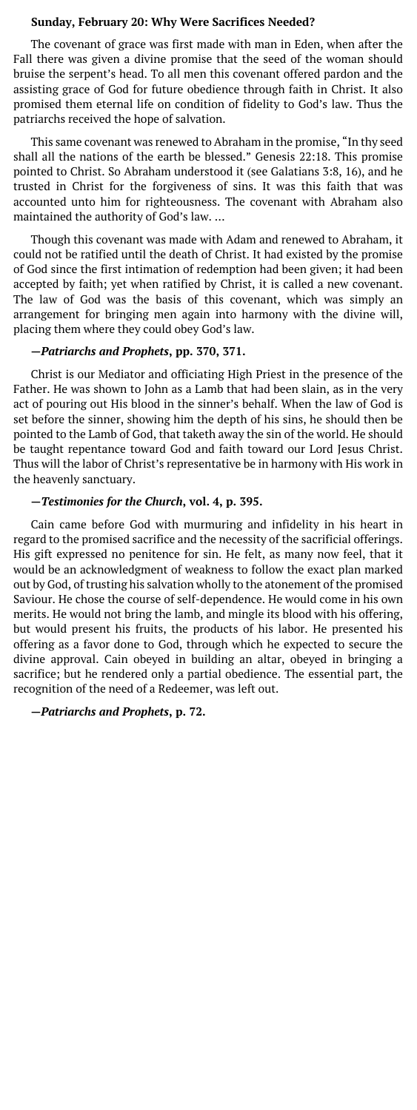## **Sunday, February 20: Why Were Sacrifices Needed?**

The covenant of grace was first made with man in Eden, when after the Fall there was given a divine promise that the seed of the woman should bruise the serpent's head. To all men this covenant offered pardon and the assisting grace of God for future obedience through faith in Christ. It also promised them eternal life on condition of fidelity to God's law. Thus the patriarchs received the hope of salvation.

This same covenant was renewed to Abraham in the promise, "In thy seed shall all the nations of the earth be blessed." Genesis 22:18. This promise pointed to Christ. So Abraham understood it (see Galatians 3:8, 16), and he trusted in Christ for the forgiveness of sins. It was this faith that was accounted unto him for righteousness. The covenant with Abraham also maintained the authority of God's law. …

Though this covenant was made with Adam and renewed to Abraham, it could not be ratified until the death of Christ. It had existed by the promise of God since the first intimation of redemption had been given; it had been accepted by faith; yet when ratified by Christ, it is called a new covenant. The law of God was the basis of this covenant, which was simply an arrangement for bringing men again into harmony with the divine will, placing them where they could obey God's law.

#### **—***Patriarchs and Prophets***, pp. 370, 371.**

Christ is our Mediator and officiating High Priest in the presence of the Father. He was shown to John as a Lamb that had been slain, as in the very act of pouring out His blood in the sinner's behalf. When the law of God is set before the sinner, showing him the depth of his sins, he should then be pointed to the Lamb of God, that taketh away the sin of the world. He should be taught repentance toward God and faith toward our Lord Jesus Christ. Thus will the labor of Christ's representative be in harmony with His work in the heavenly sanctuary.

## **—***Testimonies for the Church***, vol. 4, p. 395.**

Cain came before God with murmuring and infidelity in his heart in regard to the promised sacrifice and the necessity of the sacrificial offerings. His gift expressed no penitence for sin. He felt, as many now feel, that it would be an acknowledgment of weakness to follow the exact plan marked out by God, of trusting his salvation wholly to the atonement of the promised Saviour. He chose the course of self-dependence. He would come in his own merits. He would not bring the lamb, and mingle its blood with his offering, but would present his fruits, the products of his labor. He presented his offering as a favor done to God, through which he expected to secure the divine approval. Cain obeyed in building an altar, obeyed in bringing a sacrifice; but he rendered only a partial obedience. The essential part, the recognition of the need of a Redeemer, was left out.

**—***Patriarchs and Prophets***, p. 72.**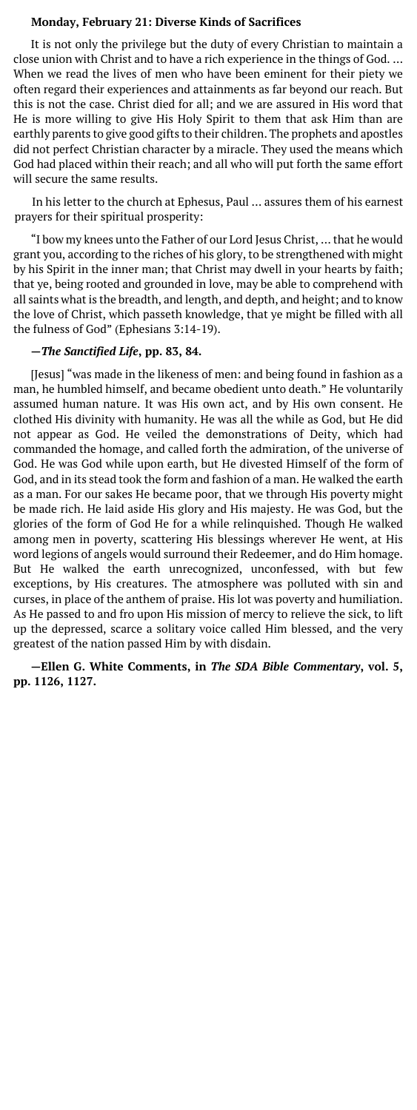## **Monday, February 21: Diverse Kinds of Sacrifices**

It is not only the privilege but the duty of every Christian to maintain a close union with Christ and to have a rich experience in the things of God. … When we read the lives of men who have been eminent for their piety we often regard their experiences and attainments as far beyond our reach. But this is not the case. Christ died for all; and we are assured in His word that He is more willing to give His Holy Spirit to them that ask Him than are earthly parents to give good gifts to their children. The prophets and apostles did not perfect Christian character by a miracle. They used the means which God had placed within their reach; and all who will put forth the same effort will secure the same results.

In his letter to the church at Ephesus, Paul … assures them of his earnest prayers for their spiritual prosperity:

"I bow my knees unto the Father of our Lord Jesus Christ, … that he would grant you, according to the riches of his glory, to be strengthened with might by his Spirit in the inner man; that Christ may dwell in your hearts by faith; that ye, being rooted and grounded in love, may be able to comprehend with all saints what is the breadth, and length, and depth, and height; and to know the love of Christ, which passeth knowledge, that ye might be filled with all the fulness of God" (Ephesians 3:14-19).

# **—***The Sanctified Life***, pp. 83, 84.**

[Jesus] "was made in the likeness of men: and being found in fashion as a man, he humbled himself, and became obedient unto death." He voluntarily assumed human nature. It was His own act, and by His own consent. He clothed His divinity with humanity. He was all the while as God, but He did not appear as God. He veiled the demonstrations of Deity, which had commanded the homage, and called forth the admiration, of the universe of God. He was God while upon earth, but He divested Himself of the form of God, and in its stead took the form and fashion of a man. He walked the earth as a man. For our sakes He became poor, that we through His poverty might be made rich. He laid aside His glory and His majesty. He was God, but the glories of the form of God He for a while relinquished. Though He walked among men in poverty, scattering His blessings wherever He went, at His word legions of angels would surround their Redeemer, and do Him homage. But He walked the earth unrecognized, unconfessed, with but few exceptions, by His creatures. The atmosphere was polluted with sin and curses, in place of the anthem of praise. His lot was poverty and humiliation. As He passed to and fro upon His mission of mercy to relieve the sick, to lift up the depressed, scarce a solitary voice called Him blessed, and the very greatest of the nation passed Him by with disdain.

**—Ellen G. White Comments, in** *The SDA Bible Commentary***, vol. 5, pp. 1126, 1127.**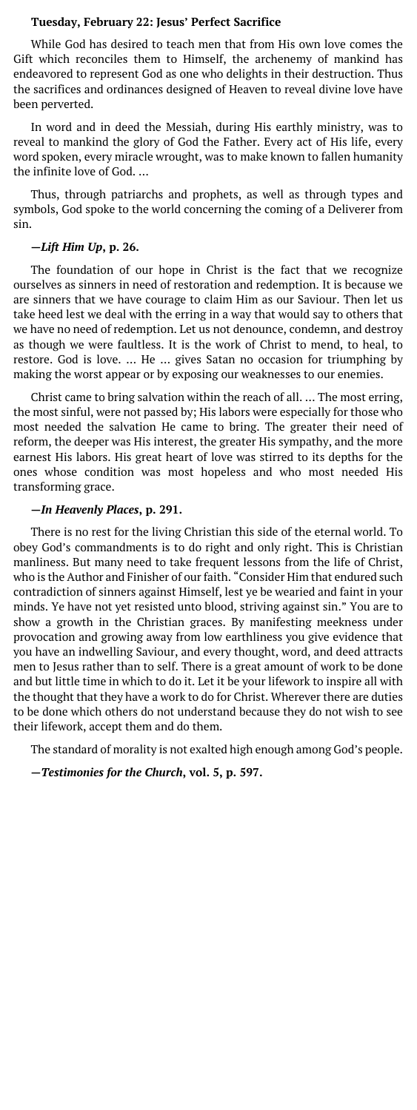## **Tuesday, February 22: Jesus' Perfect Sacrifice**

While God has desired to teach men that from His own love comes the Gift which reconciles them to Himself, the archenemy of mankind has endeavored to represent God as one who delights in their destruction. Thus the sacrifices and ordinances designed of Heaven to reveal divine love have been perverted.

In word and in deed the Messiah, during His earthly ministry, was to reveal to mankind the glory of God the Father. Every act of His life, every word spoken, every miracle wrought, was to make known to fallen humanity the infinite love of God. …

Thus, through patriarchs and prophets, as well as through types and symbols, God spoke to the world concerning the coming of a Deliverer from sin.

## **—***Lift Him Up***, p. 26.**

The foundation of our hope in Christ is the fact that we recognize ourselves as sinners in need of restoration and redemption. It is because we are sinners that we have courage to claim Him as our Saviour. Then let us take heed lest we deal with the erring in a way that would say to others that we have no need of redemption. Let us not denounce, condemn, and destroy as though we were faultless. It is the work of Christ to mend, to heal, to restore. God is love. … He … gives Satan no occasion for triumphing by making the worst appear or by exposing our weaknesses to our enemies.

Christ came to bring salvation within the reach of all. … The most erring, the most sinful, were not passed by; His labors were especially for those who most needed the salvation He came to bring. The greater their need of reform, the deeper was His interest, the greater His sympathy, and the more earnest His labors. His great heart of love was stirred to its depths for the ones whose condition was most hopeless and who most needed His transforming grace.

#### **—***In Heavenly Places***, p. 291.**

There is no rest for the living Christian this side of the eternal world. To obey God's commandments is to do right and only right. This is Christian manliness. But many need to take frequent lessons from the life of Christ, who is the Author and Finisher of our faith. "Consider Him that endured such contradiction of sinners against Himself, lest ye be wearied and faint in your minds. Ye have not yet resisted unto blood, striving against sin." You are to show a growth in the Christian graces. By manifesting meekness under provocation and growing away from low earthliness you give evidence that you have an indwelling Saviour, and every thought, word, and deed attracts men to Jesus rather than to self. There is a great amount of work to be done and but little time in which to do it. Let it be your lifework to inspire all with the thought that they have a work to do for Christ. Wherever there are duties to be done which others do not understand because they do not wish to see their lifework, accept them and do them.

The standard of morality is not exalted high enough among God's people.

**—***Testimonies for the Church***, vol. 5, p. 597.**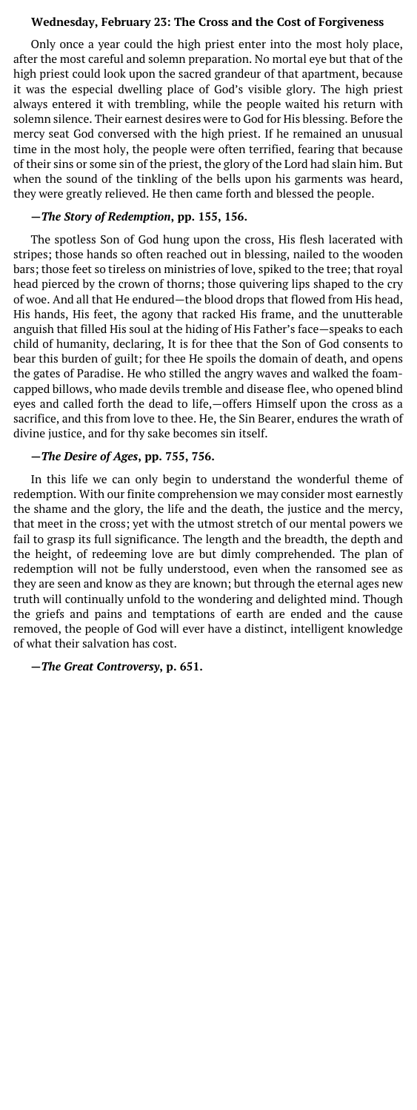#### **Wednesday, February 23: The Cross and the Cost of Forgiveness**

Only once a year could the high priest enter into the most holy place, after the most careful and solemn preparation. No mortal eye but that of the high priest could look upon the sacred grandeur of that apartment, because it was the especial dwelling place of God's visible glory. The high priest always entered it with trembling, while the people waited his return with solemn silence. Their earnest desires were to God for His blessing. Before the mercy seat God conversed with the high priest. If he remained an unusual time in the most holy, the people were often terrified, fearing that because of their sins or some sin of the priest, the glory of the Lord had slain him. But when the sound of the tinkling of the bells upon his garments was heard, they were greatly relieved. He then came forth and blessed the people.

## **—***The Story of Redemption***, pp. 155, 156.**

The spotless Son of God hung upon the cross, His flesh lacerated with stripes; those hands so often reached out in blessing, nailed to the wooden bars; those feet so tireless on ministries of love, spiked to the tree; that royal head pierced by the crown of thorns; those quivering lips shaped to the cry of woe. And all that He endured—the blood drops that flowed from His head, His hands, His feet, the agony that racked His frame, and the unutterable anguish that filled His soul at the hiding of His Father's face—speaks to each child of humanity, declaring, It is for thee that the Son of God consents to bear this burden of guilt; for thee He spoils the domain of death, and opens the gates of Paradise. He who stilled the angry waves and walked the foamcapped billows, who made devils tremble and disease flee, who opened blind eyes and called forth the dead to life,—offers Himself upon the cross as a sacrifice, and this from love to thee. He, the Sin Bearer, endures the wrath of divine justice, and for thy sake becomes sin itself.

#### **—***The Desire of Ages***, pp. 755, 756.**

In this life we can only begin to understand the wonderful theme of redemption. With our finite comprehension we may consider most earnestly the shame and the glory, the life and the death, the justice and the mercy, that meet in the cross; yet with the utmost stretch of our mental powers we fail to grasp its full significance. The length and the breadth, the depth and the height, of redeeming love are but dimly comprehended. The plan of redemption will not be fully understood, even when the ransomed see as they are seen and know as they are known; but through the eternal ages new truth will continually unfold to the wondering and delighted mind. Though the griefs and pains and temptations of earth are ended and the cause removed, the people of God will ever have a distinct, intelligent knowledge of what their salvation has cost.

#### **—***The Great Controversy***, p. 651.**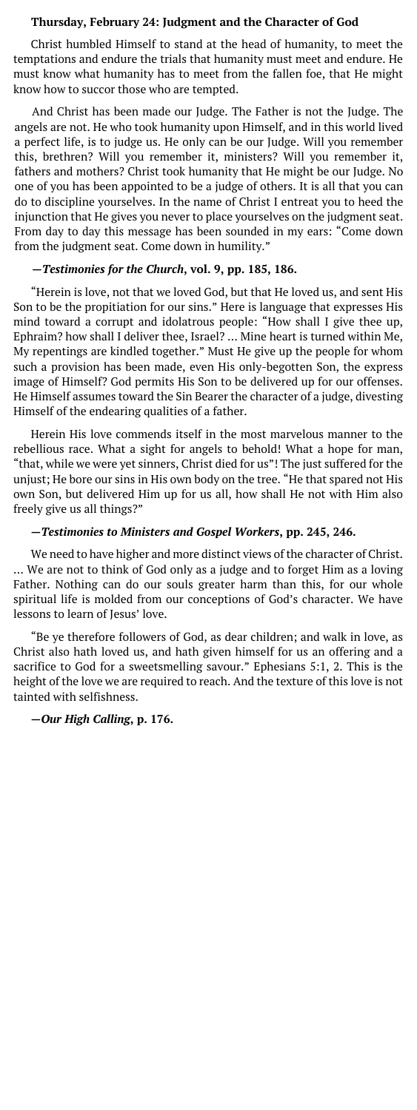## **Thursday, February 24: Judgment and the Character of God**

Christ humbled Himself to stand at the head of humanity, to meet the temptations and endure the trials that humanity must meet and endure. He must know what humanity has to meet from the fallen foe, that He might know how to succor those who are tempted.

And Christ has been made our Judge. The Father is not the Judge. The angels are not. He who took humanity upon Himself, and in this world lived a perfect life, is to judge us. He only can be our Judge. Will you remember this, brethren? Will you remember it, ministers? Will you remember it, fathers and mothers? Christ took humanity that He might be our Judge. No one of you has been appointed to be a judge of others. It is all that you can do to discipline yourselves. In the name of Christ I entreat you to heed the injunction that He gives you never to place yourselves on the judgment seat. From day to day this message has been sounded in my ears: "Come down from the judgment seat. Come down in humility."

## **—***Testimonies for the Church***, vol. 9, pp. 185, 186.**

"Herein is love, not that we loved God, but that He loved us, and sent His Son to be the propitiation for our sins." Here is language that expresses His mind toward a corrupt and idolatrous people: "How shall I give thee up, Ephraim? how shall I deliver thee, Israel? … Mine heart is turned within Me, My repentings are kindled together." Must He give up the people for whom such a provision has been made, even His only-begotten Son, the express image of Himself? God permits His Son to be delivered up for our offenses. He Himself assumes toward the Sin Bearer the character of a judge, divesting Himself of the endearing qualities of a father.

Herein His love commends itself in the most marvelous manner to the rebellious race. What a sight for angels to behold! What a hope for man, "that, while we were yet sinners, Christ died for us"! The just suffered for the unjust; He bore our sins in His own body on the tree. "He that spared not His own Son, but delivered Him up for us all, how shall He not with Him also freely give us all things?"

#### **—***Testimonies to Ministers and Gospel Workers***, pp. 245, 246.**

We need to have higher and more distinct views of the character of Christ. … We are not to think of God only as a judge and to forget Him as a loving Father. Nothing can do our souls greater harm than this, for our whole spiritual life is molded from our conceptions of God's character. We have lessons to learn of Jesus' love.

"Be ye therefore followers of God, as dear children; and walk in love, as Christ also hath loved us, and hath given himself for us an offering and a sacrifice to God for a sweetsmelling savour." Ephesians 5:1, 2. This is the height of the love we are required to reach. And the texture of this love is not tainted with selfishness.

**—***Our High Calling***, p. 176.**